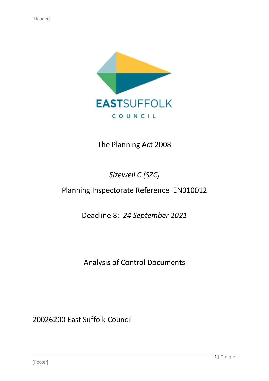

## The Planning Act 2008

# *Sizewell C (SZC)*

# Planning Inspectorate Reference EN010012

Deadline 8: *24 September 2021*

Analysis of Control Documents

20026200 East Suffolk Council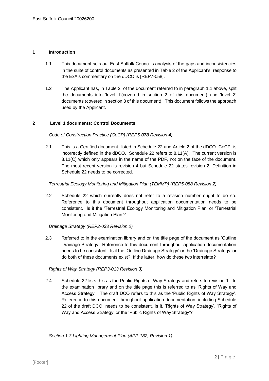#### **1 Introduction**

- 1.1 This document sets out East Suffolk Council's analysis of the gaps and inconsistencies in the suite of control documents as presented in Table 2 of the Applicant's response to the ExA's commentary on the dDCO is [REP7-058].
- 1.2 The Applicant has, in Table 2 of the document referred to in paragraph 1.1 above, split the documents into 'level 1'(covered in section 2 of this document) and 'level 2' documents (covered in section 3 of this document). This document follows the approach used by the Applicant.

#### **2 Level 1 documents: Control Documents**

#### *Code of Construction Practice (CoCP) (REP5-078 Revision 4)*

2.1 This is a Certified document listed in Schedule 22 and Article 2 of the dDCO. CoCP is incorrectly defined in the dDCO. Schedule 22 refers to 8.11(A). The current version is 8.11(C) which only appears in the name of the PDF, not on the face of the document. The most recent version is revision 4 but Schedule 22 states revision 2. Definition in Schedule 22 needs to be corrected.

### *Terrestrial Ecology Monitoring and Mitigation Plan (TEMMP) (REP5-088 Revision 2)*

2.2 Schedule 22 which currently does not refer to a revision number ought to do so. Reference to this document throughout application documentation needs to be consistent. Is it the 'Terrestrial Ecology Monitoring and Mitigation Plan' or 'Terrestrial Monitoring and Mitigation Plan'?

#### *Drainage Strategy (REP2-033 Revision 2)*

2.3 Referred to in the examination library and on the title page of the document as 'Outline Drainage Strategy'. Reference to this document throughout application documentation needs to be consistent. Is it the 'Outline Drainage Strategy' or the 'Drainage Strategy' or do both of these documents exist? If the latter, how do these two interrelate?

#### *Rights of Way Strategy (REP3-013 Revision 3)*

2.4 Schedule 22 lists this as the Public Rights of Way Strategy and refers to revision 1. In the examination library and on the title page this is referred to as 'Rights of Way and Access Strategy'. The draft DCO refers to this as the 'Public Rights of Way Strategy'. Reference to this document throughout application documentation, including Schedule 22 of the draft DCO, needs to be consistent. Is it, 'Rights of Way Strategy', 'Rights of Way and Access Strategy' or the 'Public Rights of Way Strategy'?

*Section 1.3 Lighting Management Plan (APP-182, Revision 1)*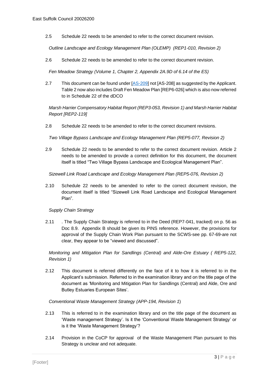2.5 Schedule 22 needs to be amended to refer to the correct document revision.

*Outline Landscape and Ecology Management Plan (OLEMP) (REP1-010, Revision 2)*

2.6 Schedule 22 needs to be amended to refer to the correct document revision.

*Fen Meadow Strategy (Volume 1, Chapter 2, Appendix 2A.9D of 6.14 of the ES)*

2.7 This document can be found under [\[AS-209\]](https://infrastructure.planninginspectorate.gov.uk/wp-content/ipc/uploads/projects/EN010012/EN010012-003019-SZC_Bk6_6.14_ESAdd_V3_Ch2_Appx2.9.A_D_Ecology%20Part%202%20of%202.pdf) not [AS-208] as suggested by the Applicant. Table 2 now also includes Draft Fen Meadow Plan [REP6-026] which is also now referred to in Schedule 22 of the dDCO

*Marsh Harrier Compensatory Habitat Report (REP3-053, Revision 1) and Marsh Harrier Habitat Report [REP2-119]*

2.8 Schedule 22 needs to be amended to refer to the correct document revisions.

*Two Village Bypass Landscape and Ecology Management Plan (REP5-077, Revision 2)*

2.9 Schedule 22 needs to be amended to refer to the correct document revision. Article 2 needs to be amended to provide a correct definition for this document, the document itself is titled "Two Village Bypass Landscape and Ecological Management Plan".

*Sizewell Link Road Landscape and Ecology Management Plan (REP5-076, Revision 2)*

2.10 Schedule 22 needs to be amended to refer to the correct document revision, the document itself is titled "Sizewell Link Road Landscape and Ecological Management Plan".

*Supply Chain Strategy*

2.11 . The Supply Chain Strategy is referred to in the Deed (REP7-041, tracked) on p. 56 as Doc 8.9. Appendix B should be given its PINS reference. However, the provisions for approval of the Supply Chain Work Plan pursuant to the SCWS-see pp. 67-69-are not clear, they appear to be "viewed and discussed".

*Monitoring and Mitigation Plan for Sandlings (Central) and Alde-Ore Estuary ( REP5-122, Revision 1)*

2.12 This document is referred differently on the face of it to how it is referred to in the Applicant's submission. Referred to in the examination library and on the title page of the document as 'Monitoring and Mitigation Plan for Sandlings (Central) and Alde, Ore and Butley Estuaries European Sites'.

*Conventional Waste Management Strategy (APP-194, Revision 1*)

- 2.13 This is referred to in the examination library and on the title page of the document as 'Waste management Strategy'. Is it the 'Conventional Waste Management Strategy' or is it the 'Waste Management Strategy'?
- 2.14 Provision in the CoCP for approval of the Waste Management Plan pursuant to this Strategy is unclear and not adequate.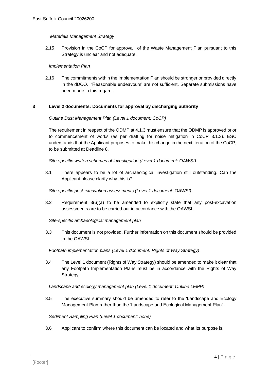### *Materials Management Strategy*

2.15 Provision in the CoCP for approval of the Waste Management Plan pursuant to this Strategy is unclear and not adequate.

#### *Implementation Plan*

2.16 The commitments within the Implementation Plan should be stronger or provided directly in the dDCO. 'Reasonable endeavours' are not sufficient. Separate submissions have been made in this regard.

#### **3 Level 2 documents: Documents for approval by discharging authority**

#### *Outline Dust Management Plan (Level 1 document: CoCP)*

The requirement in respect of the ODMP at 4.1.3 must ensure that the ODMP is approved prior to commencement of works (as per drafting for noise mitigation in CoCP 3.1.3). ESC understands that the Applicant proposes to make this change in the next iteration of the CoCP, to be submitted at Deadline 8.

*Site-specific written schemes of investigation (Level 1 document: OAWSI)*

3.1 There appears to be a lot of archaeological investigation still outstanding. Can the Applicant please clarify why this is?

#### *Site-specific post-excavation assessments (Level 1 document: OAWSI)*

3.2 Requirement 3(6)(a) to be amended to explicitly state that any post-excavation assessments are to be carried out in accordance with the OAWSI.

*Site-specific archaeological management plan*

3.3 This document is not provided. Further information on this document should be provided in the OAWSI.

#### *Footpath implementation plans (Level 1 document: Rights of Way Strategy)*

3.4 The Level 1 document (Rights of Way Strategy) should be amended to make it clear that any Footpath Implementation Plans must be in accordance with the Rights of Way Strategy.

*Landscape and ecology management plan (Level 1 document: Outline LEMP)*

3.5 The executive summary should be amended to refer to the 'Landscape and Ecology Management Plan rather than the 'Landscape and Ecological Management Plan'.

*Sediment Sampling Plan (Level 1 document: none)*

3.6 Applicant to confirm where this document can be located and what its purpose is.